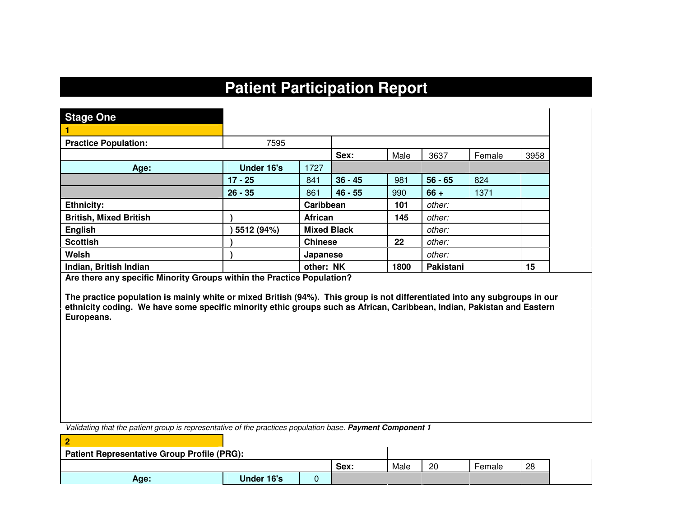# **Patient Participation Report**

| <b>Stage One</b>              |            |                |                    |         |           |        |      |
|-------------------------------|------------|----------------|--------------------|---------|-----------|--------|------|
|                               |            |                |                    |         |           |        |      |
| <b>Practice Population:</b>   | 7595       |                |                    |         |           |        |      |
|                               |            |                | Sex:               | Male    | 3637      | Female | 3958 |
| Age:                          | Under 16's | 1727           |                    |         |           |        |      |
|                               | $17 - 25$  | 841            | $36 - 45$          | 981     | $56 - 65$ | 824    |      |
|                               | $26 - 35$  | 861            | $46 - 55$          | 990     | $66 +$    | 1371   |      |
| <b>Ethnicity:</b>             |            | Caribbean      |                    | 101     | other:    |        |      |
| <b>British, Mixed British</b> |            | <b>African</b> |                    | 145     | other:    |        |      |
| <b>English</b>                | 5512 (94%) |                | <b>Mixed Black</b> |         | other:    |        |      |
| <b>Scottish</b>               |            | <b>Chinese</b> |                    | $22 \,$ | other:    |        |      |
| Welsh                         |            | Japanese       |                    |         | other:    |        |      |
| Indian, British Indian        |            | other: NK      |                    | 1800    | Pakistani |        | 15   |

**Are there any specific Minority Groups within the Practice Population?** 

**2** 

**The practice population is mainly white or mixed British (94%). This group is not differentiated into any subgroups in our ethnicity coding. We have some specific minority ethic groups such as African, Caribbean, Indian, Pakistan and Eastern Europeans.** 

Validating that the patient group is representative of the practices population base. **Payment Component 1**

| <b>Patient Representative Group Profile (PRG):</b> |            |  |      |      |    |        |    |
|----------------------------------------------------|------------|--|------|------|----|--------|----|
|                                                    |            |  | Sex: | Male | 20 | Female | 28 |
| Age:                                               | Under 16's |  |      |      |    |        |    |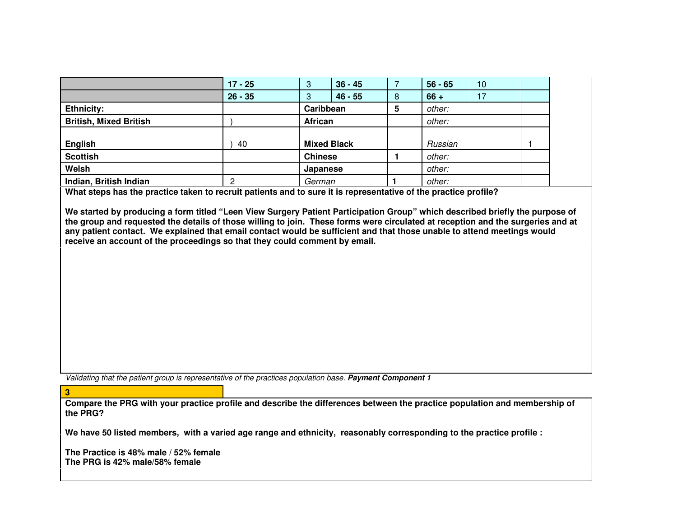|                                                                                                                                                                                                                                                                                                                                                                                                                                                                          | $17 - 25$ | $36 - 45$<br>3     |   | $56 - 65$<br>10 |  |
|--------------------------------------------------------------------------------------------------------------------------------------------------------------------------------------------------------------------------------------------------------------------------------------------------------------------------------------------------------------------------------------------------------------------------------------------------------------------------|-----------|--------------------|---|-----------------|--|
|                                                                                                                                                                                                                                                                                                                                                                                                                                                                          | $26 - 35$ | $46 - 55$<br>3     | 8 | 17<br>$66 +$    |  |
| <b>Ethnicity:</b>                                                                                                                                                                                                                                                                                                                                                                                                                                                        |           | Caribbean          | 5 | other:          |  |
| <b>British, Mixed British</b>                                                                                                                                                                                                                                                                                                                                                                                                                                            |           | African            |   | other:          |  |
| <b>English</b>                                                                                                                                                                                                                                                                                                                                                                                                                                                           | 40        | <b>Mixed Black</b> |   | Russian         |  |
| <b>Scottish</b>                                                                                                                                                                                                                                                                                                                                                                                                                                                          |           | <b>Chinese</b>     |   | other:          |  |
| Welsh                                                                                                                                                                                                                                                                                                                                                                                                                                                                    |           | Japanese           |   | other:          |  |
| Indian, British Indian                                                                                                                                                                                                                                                                                                                                                                                                                                                   | 2         | German             |   | other:          |  |
| What steps has the practice taken to recruit patients and to sure it is representative of the practice profile?                                                                                                                                                                                                                                                                                                                                                          |           |                    |   |                 |  |
| We started by producing a form titled "Leen View Surgery Patient Participation Group" which described briefly the purpose of<br>the group and requested the details of those willing to join. These forms were circulated at reception and the surgeries and at<br>any patient contact. We explained that email contact would be sufficient and that those unable to attend meetings would<br>receive an account of the proceedings so that they could comment by email. |           |                    |   |                 |  |

Validating that the patient group is representative of the practices population base. **Payment Component 1**

 **Compare the PRG with your practice profile and describe the differences between the practice population and membership of the PRG?** 

**We have 50 listed members, with a varied age range and ethnicity, reasonably corresponding to the practice profile :** 

**The Practice is 48% male / 52% female The PRG is 42% male/58% female** 

**3**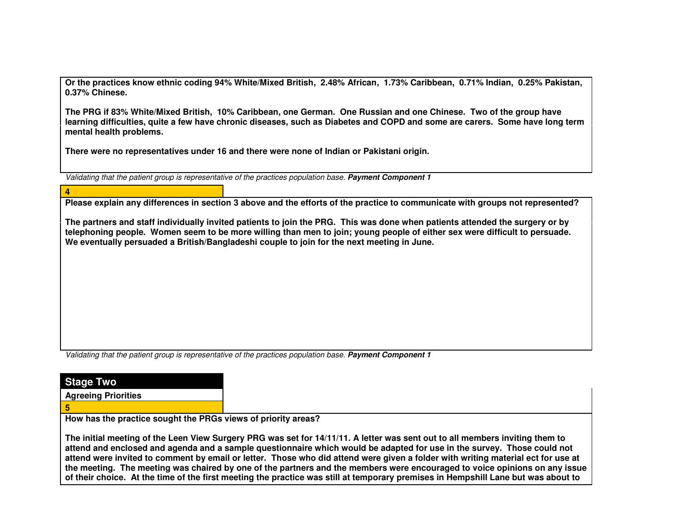**Or the practices know ethnic coding 94% White/Mixed British, 2.48% African, 1.73% Caribbean, 0.71% Indian, 0.25% Pakistan, 0.37% Chinese.** 

**The PRG if 83% White/Mixed British, 10% Caribbean, one German. One Russian and one Chinese. Two of the group have learning difficulties, quite a few have chronic diseases, such as Diabetes and COPD and some are carers. Some have long term mental health problems.** 

**There were no representatives under 16 and there were none of Indian or Pakistani origin.** 

Validating that the patient group is representative of the practices population base. **Payment Component 1**

#### **4**

**Please explain any differences in section 3 above and the efforts of the practice to communicate with groups not represented?** 

**The partners and staff individually invited patients to join the PRG. This was done when patients attended the surgery or by telephoning people. Women seem to be more willing than men to join; young people of either sex were difficult to persuade. We eventually persuaded a British/Bangladeshi couple to join for the next meeting in June.** 

Validating that the patient group is representative of the practices population base. **Payment Component 1**

## **Stage Two**

**Agreeing Priorities** 

### **5**

**How has the practice sought the PRGs views of priority areas?** 

**The initial meeting of the Leen View Surgery PRG was set for 14/11/11. A letter was sent out to all members inviting them to attend and enclosed and agenda and a sample questionnaire which would be adapted for use in the survey. Those could not attend were invited to comment by email or letter. Those who did attend were given a folder with writing material ect for use at the meeting. The meeting was chaired by one of the partners and the members were encouraged to voice opinions on any issue of their choice. At the time of the first meeting the practice was still at temporary premises in Hempshill Lane but was about to**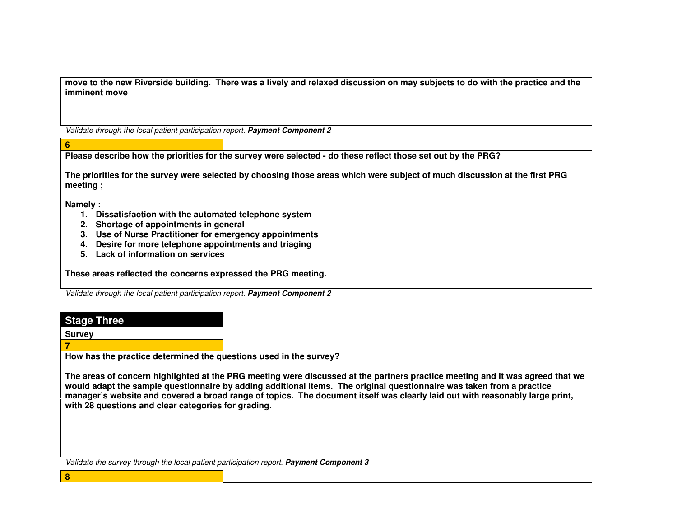**move to the new Riverside building. There was a lively and relaxed discussion on may subjects to do with the practice and the imminent move** 

Validate through the local patient participation report. **Payment Component 2**

**Please describe how the priorities for the survey were selected - do these reflect those set out by the PRG?** 

**The priorities for the survey were selected by choosing those areas which were subject of much discussion at the first PRG meeting ;** 

**Namely :** 

**6** 

- **1. Dissatisfaction with the automated telephone system**
- **2. Shortage of appointments in general**
- **3. Use of Nurse Practitioner for emergency appointments**
- **4. Desire for more telephone appointments and triaging**
- **5. Lack of information on services**

**These areas reflected the concerns expressed the PRG meeting.** 

Validate through the local patient participation report. **Payment Component 2**

|        |  |    | e |  |
|--------|--|----|---|--|
| iktote |  | nr |   |  |
|        |  |    |   |  |

**Survey** 

**7** 

**8** 

**How has the practice determined the questions used in the survey?** 

**The areas of concern highlighted at the PRG meeting were discussed at the partners practice meeting and it was agreed that we would adapt the sample questionnaire by adding additional items. The original questionnaire was taken from a practice manager's website and covered a broad range of topics. The document itself was clearly laid out with reasonably large print, with 28 questions and clear categories for grading.**

Validate the survey through the local patient participation report. **Payment Component 3**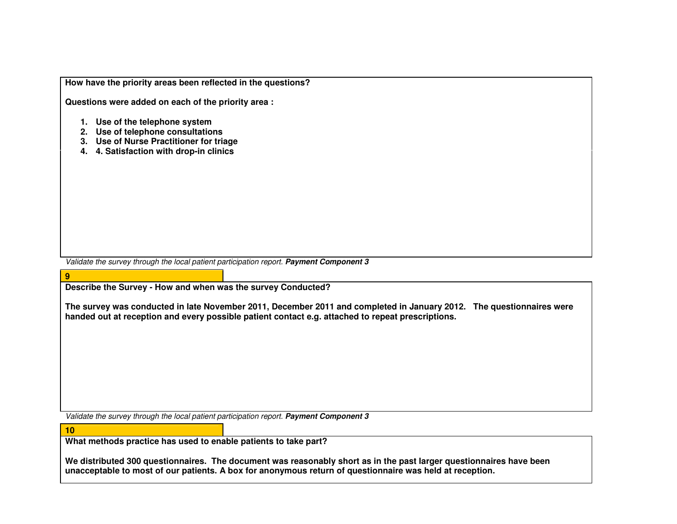| How have the priority areas been reflected in the questions? |  |  |  |
|--------------------------------------------------------------|--|--|--|
|--------------------------------------------------------------|--|--|--|

**Questions were added on each of the priority area :**

- **1. Use of the telephone system**
- **2. Use of telephone consultations**
- **3. Use of Nurse Practitioner for triage**
- **4. 4. Satisfaction with drop-in clinics**

Validate the survey through the local patient participation report. **Payment Component 3**

**Describe the Survey - How and when was the survey Conducted?** 

**The survey was conducted in late November 2011, December 2011 and completed in January 2012. The questionnaires were handed out at reception and every possible patient contact e.g. attached to repeat prescriptions.** 

Validate the survey through the local patient participation report. **Payment Component 3**

**10** 

**9** 

**What methods practice has used to enable patients to take part?** 

**We distributed 300 questionnaires. The document was reasonably short as in the past larger questionnaires have been unacceptable to most of our patients. A box for anonymous return of questionnaire was held at reception.**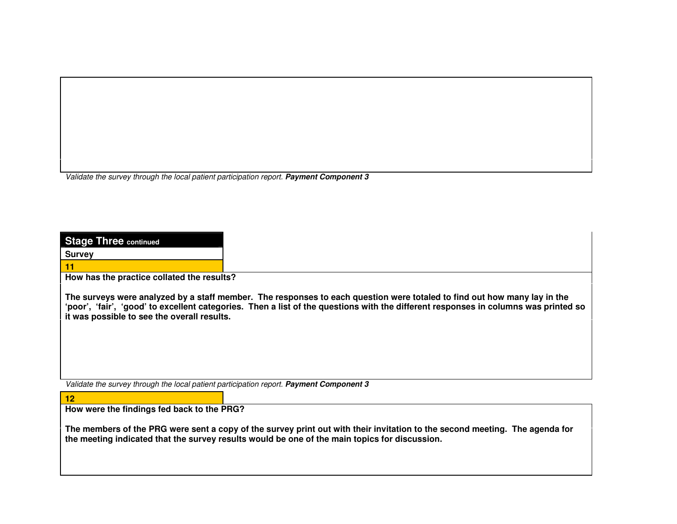Validate the survey through the local patient participation report. **Payment Component 3**

| <b>Stage Three continued</b>                                                                  |                                                                                                                                                                                                                                                                 |
|-----------------------------------------------------------------------------------------------|-----------------------------------------------------------------------------------------------------------------------------------------------------------------------------------------------------------------------------------------------------------------|
| <b>Survey</b>                                                                                 |                                                                                                                                                                                                                                                                 |
| 11                                                                                            |                                                                                                                                                                                                                                                                 |
| How has the practice collated the results?                                                    |                                                                                                                                                                                                                                                                 |
| it was possible to see the overall results.                                                   | The surveys were analyzed by a staff member. The responses to each question were totaled to find out how many lay in the<br>'poor', 'fair', 'good' to excellent categories. Then a list of the questions with the different responses in columns was printed so |
| Validate the survey through the local patient participation report. Payment Component 3<br>12 |                                                                                                                                                                                                                                                                 |
| How were the findings fed back to the PRG?                                                    |                                                                                                                                                                                                                                                                 |
|                                                                                               | The members of the PRG were sent a copy of the survey print out with their invitation to the second meeting. The agenda for<br>the meeting indicated that the survey results would be one of the main topics for discussion.                                    |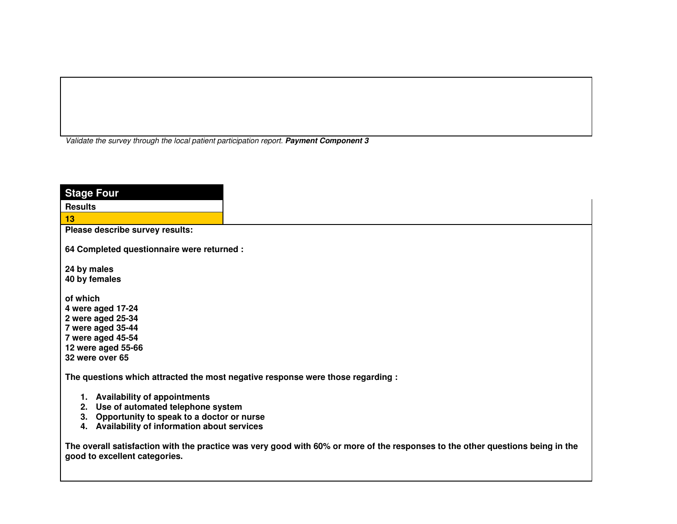Validate the survey through the local patient participation report. **Payment Component 3**

| <b>Stage Four</b>                                                                                                                                                           |                                                                                                                                |
|-----------------------------------------------------------------------------------------------------------------------------------------------------------------------------|--------------------------------------------------------------------------------------------------------------------------------|
| <b>Results</b>                                                                                                                                                              |                                                                                                                                |
| 13                                                                                                                                                                          |                                                                                                                                |
| Please describe survey results:                                                                                                                                             |                                                                                                                                |
| 64 Completed questionnaire were returned :                                                                                                                                  |                                                                                                                                |
| 24 by males                                                                                                                                                                 |                                                                                                                                |
| 40 by females                                                                                                                                                               |                                                                                                                                |
| of which<br>4 were aged 17-24<br>2 were aged 25-34<br>7 were aged 35-44<br>7 were aged 45-54<br>12 were aged 55-66<br>32 were over 65                                       |                                                                                                                                |
|                                                                                                                                                                             | The questions which attracted the most negative response were those regarding :                                                |
| 1. Availability of appointments<br>Use of automated telephone system<br>2.<br>3. Opportunity to speak to a doctor or nurse<br>4. Availability of information about services |                                                                                                                                |
| good to excellent categories.                                                                                                                                               | The overall satisfaction with the practice was very good with 60% or more of the responses to the other questions being in the |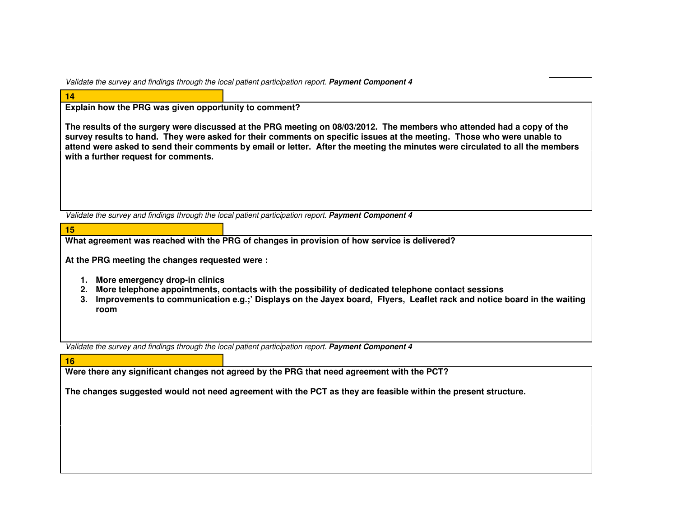Validate the survey and findings through the local patient participation report. **Payment Component 4**

| <b>Contract Contract Contract Contract Contract Contract Contract Contract Contract Contract Contract Contract C</b>  | <b>Contract Contract Contract Contract Contract Contract Contract Contract Contract Contract Contract Contract Co</b>                                                                                                                   |
|-----------------------------------------------------------------------------------------------------------------------|-----------------------------------------------------------------------------------------------------------------------------------------------------------------------------------------------------------------------------------------|
|                                                                                                                       |                                                                                                                                                                                                                                         |
| <b>Contract Contract Contract Contract Contract Contract Contract Contract Contract Contract Contract Contract Co</b> | and the state of the state of the state of the state of the state of the state of the state of the state of th<br><b>Contract Contract Contract Contract Contract Contract Contract Contract Contract Contract Contract Contract Co</b> |

**15** 

**Explain how the PRG was given opportunity to comment?** 

**The results of the surgery were discussed at the PRG meeting on 08/03/2012. The members who attended had a copy of the survey results to hand. They were asked for their comments on specific issues at the meeting. Those who were unable to attend were asked to send their comments by email or letter. After the meeting the minutes were circulated to all the members with a further request for comments.** 

Validate the survey and findings through the local patient participation report. **Payment Component 4**

**What agreement was reached with the PRG of changes in provision of how service is delivered?** 

**At the PRG meeting the changes requested were :** 

- **1. More emergency drop-in clinics**
- **2. More telephone appointments, contacts with the possibility of dedicated telephone contact sessions**
- **3. Improvements to communication e.g.;' Displays on the Jayex board, Flyers, Leaflet rack and notice board in the waiting room**

Validate the survey and findings through the local patient participation report. **Payment Component 4**

| 16 |                                                                                                                |
|----|----------------------------------------------------------------------------------------------------------------|
|    | Were there any significant changes not agreed by the PRG that need agreement with the PCT?                     |
|    | The changes suggested would not need agreement with the PCT as they are feasible within the present structure. |
|    |                                                                                                                |
|    |                                                                                                                |
|    |                                                                                                                |
|    |                                                                                                                |
|    |                                                                                                                |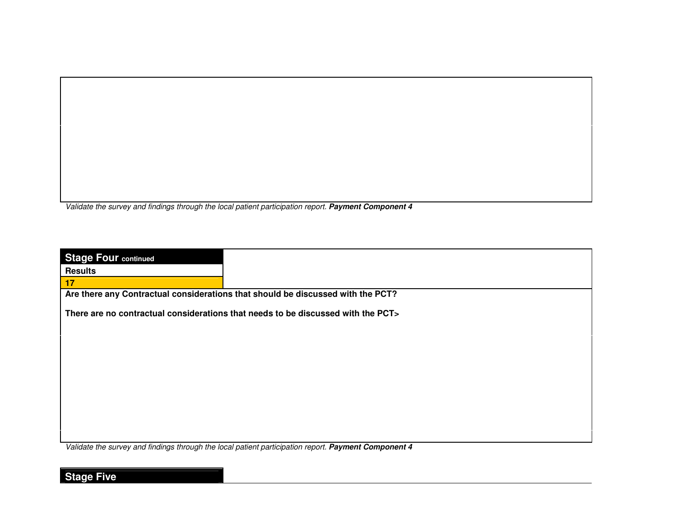Validate the survey and findings through the local patient participation report. **Payment Component 4**

| <b>Stage Four continued</b> |                                                                                  |
|-----------------------------|----------------------------------------------------------------------------------|
| <b>Results</b>              |                                                                                  |
| 17 <sub>2</sub>             |                                                                                  |
|                             | Are there any Contractual considerations that should be discussed with the PCT?  |
|                             |                                                                                  |
|                             | There are no contractual considerations that needs to be discussed with the PCT> |
|                             |                                                                                  |
|                             |                                                                                  |
|                             |                                                                                  |
|                             |                                                                                  |
|                             |                                                                                  |
|                             |                                                                                  |
|                             |                                                                                  |
|                             |                                                                                  |
|                             |                                                                                  |
|                             |                                                                                  |
|                             |                                                                                  |
|                             |                                                                                  |
|                             |                                                                                  |
|                             |                                                                                  |

Validate the survey and findings through the local patient participation report. **Payment Component 4**

## **Stage Five**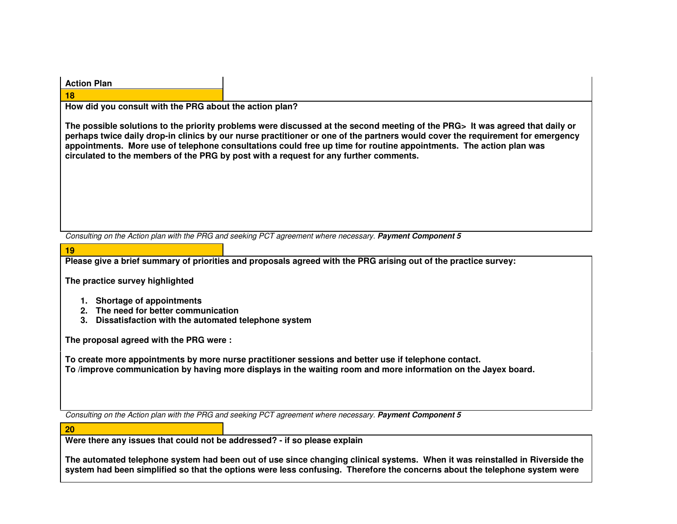| <b>Action Plan</b>                                                                                                            |                                                                                                                                                                                                                                                                                                                                                                                                                                                                               |
|-------------------------------------------------------------------------------------------------------------------------------|-------------------------------------------------------------------------------------------------------------------------------------------------------------------------------------------------------------------------------------------------------------------------------------------------------------------------------------------------------------------------------------------------------------------------------------------------------------------------------|
| 18                                                                                                                            |                                                                                                                                                                                                                                                                                                                                                                                                                                                                               |
| How did you consult with the PRG about the action plan?                                                                       |                                                                                                                                                                                                                                                                                                                                                                                                                                                                               |
|                                                                                                                               | The possible solutions to the priority problems were discussed at the second meeting of the PRG> It was agreed that daily or<br>perhaps twice daily drop-in clinics by our nurse practitioner or one of the partners would cover the requirement for emergency<br>appointments. More use of telephone consultations could free up time for routine appointments. The action plan was<br>circulated to the members of the PRG by post with a request for any further comments. |
|                                                                                                                               |                                                                                                                                                                                                                                                                                                                                                                                                                                                                               |
|                                                                                                                               | Consulting on the Action plan with the PRG and seeking PCT agreement where necessary. Payment Component 5                                                                                                                                                                                                                                                                                                                                                                     |
| 19                                                                                                                            |                                                                                                                                                                                                                                                                                                                                                                                                                                                                               |
|                                                                                                                               | Please give a brief summary of priorities and proposals agreed with the PRG arising out of the practice survey:                                                                                                                                                                                                                                                                                                                                                               |
| The practice survey highlighted                                                                                               |                                                                                                                                                                                                                                                                                                                                                                                                                                                                               |
| 1. Shortage of appointments<br>2. The need for better communication<br>3. Dissatisfaction with the automated telephone system |                                                                                                                                                                                                                                                                                                                                                                                                                                                                               |
| The proposal agreed with the PRG were:                                                                                        |                                                                                                                                                                                                                                                                                                                                                                                                                                                                               |
|                                                                                                                               | To create more appointments by more nurse practitioner sessions and better use if telephone contact.<br>To /improve communication by having more displays in the waiting room and more information on the Jayex board.                                                                                                                                                                                                                                                        |
|                                                                                                                               |                                                                                                                                                                                                                                                                                                                                                                                                                                                                               |
|                                                                                                                               | Consulting on the Action plan with the PRG and seeking PCT agreement where necessary. Payment Component 5                                                                                                                                                                                                                                                                                                                                                                     |
| 20                                                                                                                            |                                                                                                                                                                                                                                                                                                                                                                                                                                                                               |
| Were there any issues that could not be addressed? - if so please explain                                                     |                                                                                                                                                                                                                                                                                                                                                                                                                                                                               |
|                                                                                                                               | The automated telephone system had been out of use since changing clinical systems. When it was reinstalled in Riverside the<br>system had been simplified so that the options were less confusing. Therefore the concerns about the telephone system were                                                                                                                                                                                                                    |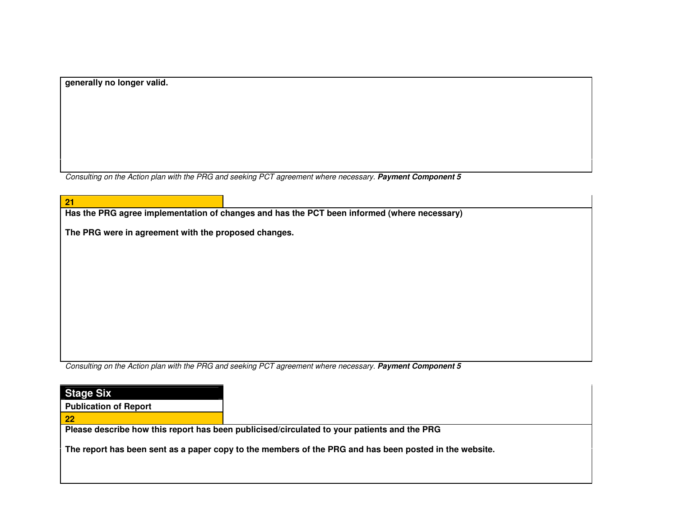**generally no longer valid.** 

Consulting on the Action plan with the PRG and seeking PCT agreement where necessary. **Payment Component 5**

| 21 |                                                                                             |                                                                                                           |  |  |  |  |
|----|---------------------------------------------------------------------------------------------|-----------------------------------------------------------------------------------------------------------|--|--|--|--|
|    | Has the PRG agree implementation of changes and has the PCT been informed (where necessary) |                                                                                                           |  |  |  |  |
|    | The PRG were in agreement with the proposed changes.                                        |                                                                                                           |  |  |  |  |
|    |                                                                                             |                                                                                                           |  |  |  |  |
|    |                                                                                             |                                                                                                           |  |  |  |  |
|    |                                                                                             |                                                                                                           |  |  |  |  |
|    |                                                                                             |                                                                                                           |  |  |  |  |
|    |                                                                                             |                                                                                                           |  |  |  |  |
|    |                                                                                             |                                                                                                           |  |  |  |  |
|    |                                                                                             |                                                                                                           |  |  |  |  |
|    |                                                                                             |                                                                                                           |  |  |  |  |
|    |                                                                                             |                                                                                                           |  |  |  |  |
|    |                                                                                             | Consulting on the Action plan with the PRG and seeking PCT agreement where necessary. Payment Component 5 |  |  |  |  |
|    |                                                                                             |                                                                                                           |  |  |  |  |
|    | <b>Stage Six</b>                                                                            |                                                                                                           |  |  |  |  |
|    | <b>Publication of Report</b>                                                                |                                                                                                           |  |  |  |  |
| 22 |                                                                                             |                                                                                                           |  |  |  |  |

**Please describe how this report has been publicised/circulated to your patients and the PRG** 

**The report has been sent as a paper copy to the members of the PRG and has been posted in the website.**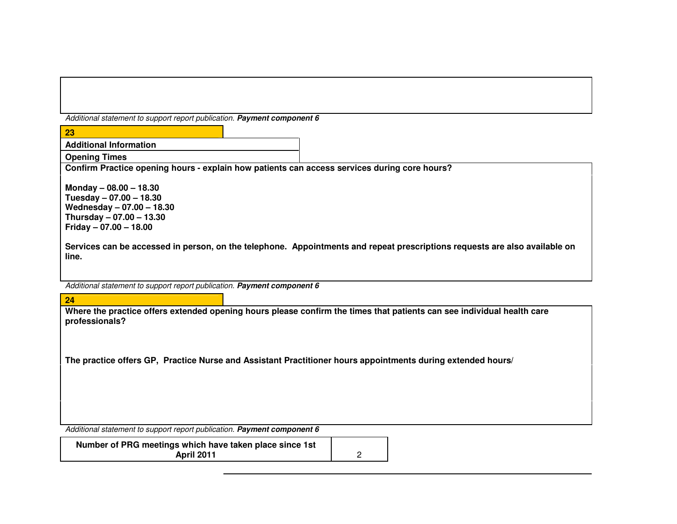Additional statement to support report publication. **Payment component 6**

| 23                                                                                                                                                                                                                                                                               |  |  |
|----------------------------------------------------------------------------------------------------------------------------------------------------------------------------------------------------------------------------------------------------------------------------------|--|--|
| <b>Additional Information</b>                                                                                                                                                                                                                                                    |  |  |
| <b>Opening Times</b>                                                                                                                                                                                                                                                             |  |  |
| Confirm Practice opening hours - explain how patients can access services during core hours?                                                                                                                                                                                     |  |  |
| Monday $- 08.00 - 18.30$<br>Tuesday $-07.00 - 18.30$<br>Wednesday - 07.00 - 18.30<br>Thursday $-07.00 - 13.30$<br>Friday $-07.00 - 18.00$<br>Services can be accessed in person, on the telephone. Appointments and repeat prescriptions requests are also available on<br>line. |  |  |
| Additional statement to support report publication. Payment component 6                                                                                                                                                                                                          |  |  |
|                                                                                                                                                                                                                                                                                  |  |  |
| 24                                                                                                                                                                                                                                                                               |  |  |
| Where the practice offers extended opening hours please confirm the times that patients can see individual health care<br>professionals?<br>The practice offers GP, Practice Nurse and Assistant Practitioner hours appointments during extended hours/                          |  |  |
| Additional statement to support report publication. Payment component 6                                                                                                                                                                                                          |  |  |